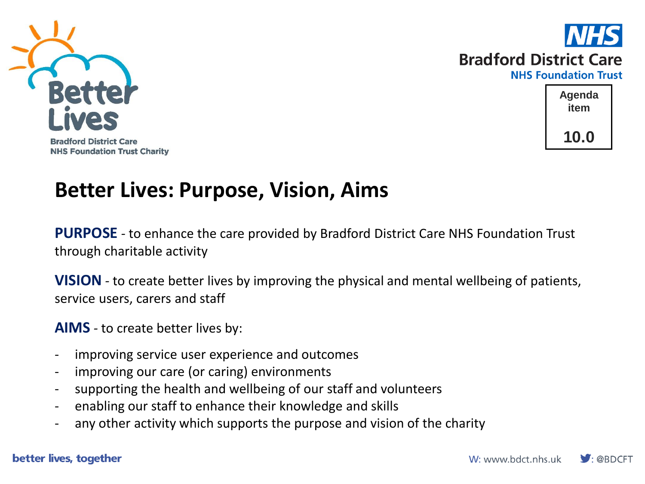



**10.0**

### **Better Lives: Purpose, Vision, Aims**

**PURPOSE** *-* to enhance the care provided by Bradford District Care NHS Foundation Trust through charitable activity

**VISION** *-* to create better lives by improving the physical and mental wellbeing of patients, service users, carers and staff

**AIMS** *-* to create better lives by:

- improving service user experience and outcomes
- improving our care (or caring) environments
- supporting the health and wellbeing of our staff and volunteers
- enabling our staff to enhance their knowledge and skills
- any other activity which supports the purpose and vision of the charity

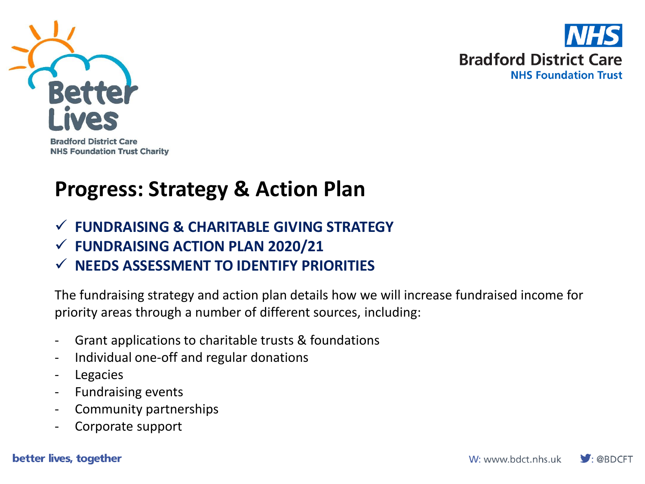



**NHS Foundation Trust Charity** 

# **Progress: Strategy & Action Plan**

- ✓ **FUNDRAISING & CHARITABLE GIVING STRATEGY**
- ✓ **FUNDRAISING ACTION PLAN 2020/21**
- ✓ **NEEDS ASSESSMENT TO IDENTIFY PRIORITIES**

The fundraising strategy and action plan details how we will increase fundraised income for priority areas through a number of different sources, including:

- Grant applications to charitable trusts & foundations
- Individual one-off and regular donations
- **Legacies**
- Fundraising events
- Community partnerships
- Corporate support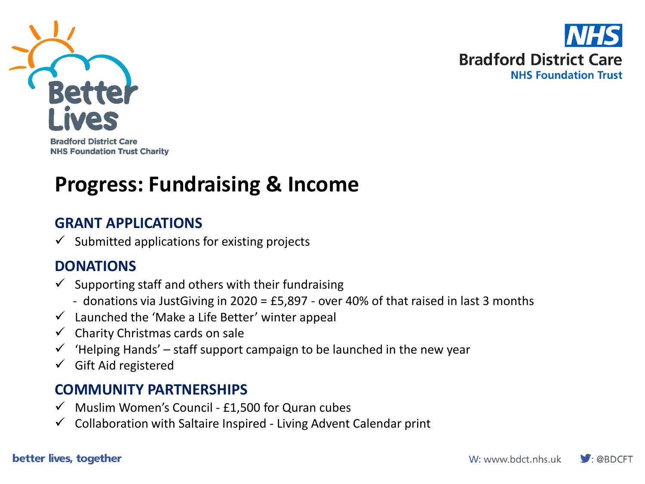



**Bradford District Care NHS Foundation Trust Charity** 

# **Progress: Fundraising & Income**

#### **GRANT APPLICATIONS**

 $\checkmark$  Submitted applications for existing projects

#### **DONATIONS**

- $\checkmark$  Supporting staff and others with their fundraising
	- donations via JustGiving in 2020 = £5,897 over 40% of that raised in last 3 months
- $\checkmark$  Launched the 'Make a Life Better' winter appeal
- $\checkmark$  Charity Christmas cards on sale
- $\checkmark$  'Helping Hands' staff support campaign to be launched in the new year
- $\checkmark$  Gift Aid registered

### **COMMUNITY PARTNERSHIPS**

- $\checkmark$  Muslim Women's Council £1,500 for Quran cubes
- $\checkmark$  Collaboration with Saltaire Inspired Living Advent Calendar print